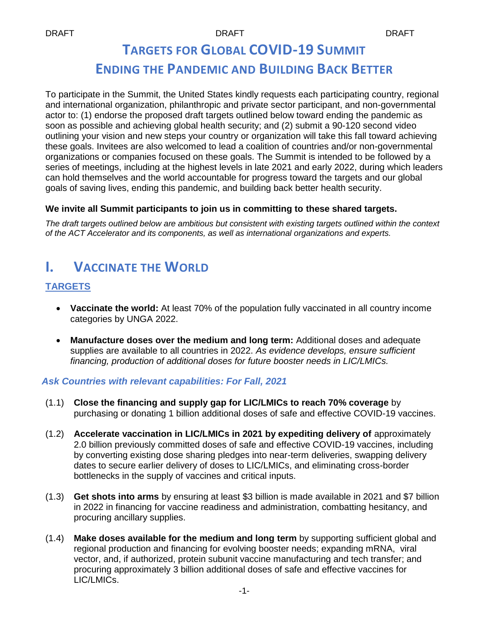# **TARGETS FOR GLOBAL COVID-19 SUMMIT ENDING THE PANDEMIC AND BUILDING BACK BETTER**

To participate in the Summit, the United States kindly requests each participating country, regional and international organization, philanthropic and private sector participant, and non-governmental actor to: (1) endorse the proposed draft targets outlined below toward ending the pandemic as soon as possible and achieving global health security; and (2) submit a 90-120 second video outlining your vision and new steps your country or organization will take this fall toward achieving these goals. Invitees are also welcomed to lead a coalition of countries and/or non-governmental organizations or companies focused on these goals. The Summit is intended to be followed by a series of meetings, including at the highest levels in late 2021 and early 2022, during which leaders can hold themselves and the world accountable for progress toward the targets and our global goals of saving lives, ending this pandemic, and building back better health security.

#### **We invite all Summit participants to join us in committing to these shared targets.**

*The draft targets outlined below are ambitious but consistent with existing targets outlined within the context of the ACT Accelerator and its components, as well as international organizations and experts.*

## **I. VACCINATE THE WORLD**

### **TARGETS**

- **Vaccinate the world:** At least 70% of the population fully vaccinated in all country income categories by UNGA 2022.
- **Manufacture doses over the medium and long term:** Additional doses and adequate supplies are available to all countries in 2022. *As evidence develops, ensure sufficient financing, production of additional doses for future booster needs in LIC/LMICs.*

#### *Ask Countries with relevant capabilities: For Fall, 2021*

- (1.1) **Close the financing and supply gap for LIC/LMICs to reach 70% coverage** by purchasing or donating 1 billion additional doses of safe and effective COVID-19 vaccines.
- (1.2) **Accelerate vaccination in LIC/LMICs in 2021 by expediting delivery of** approximately 2.0 billion previously committed doses of safe and effective COVID-19 vaccines, including by converting existing dose sharing pledges into near-term deliveries, swapping delivery dates to secure earlier delivery of doses to LIC/LMICs, and eliminating cross-border bottlenecks in the supply of vaccines and critical inputs.
- (1.3) **Get shots into arms** by ensuring at least \$3 billion is made available in 2021 and \$7 billion in 2022 in financing for vaccine readiness and administration, combatting hesitancy, and procuring ancillary supplies.
- (1.4) **Make doses available for the medium and long term** by supporting sufficient global and regional production and financing for evolving booster needs; expanding mRNA, viral vector, and, if authorized, protein subunit vaccine manufacturing and tech transfer; and procuring approximately 3 billion additional doses of safe and effective vaccines for LIC/LMICs.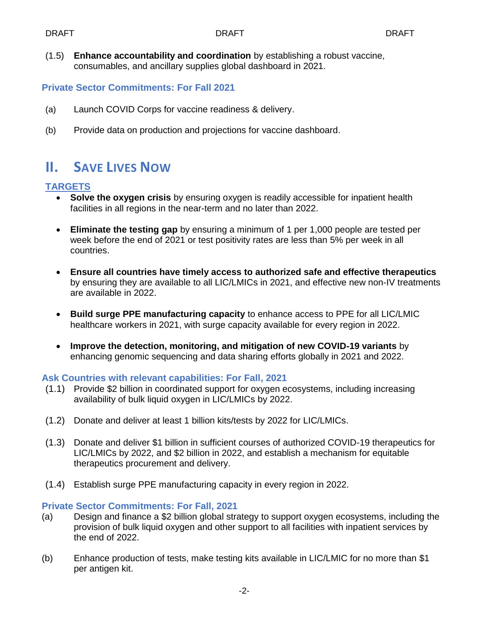(1.5) **Enhance accountability and coordination** by establishing a robust vaccine, consumables, and ancillary supplies global dashboard in 2021.

#### **Private Sector Commitments: For Fall 2021**

- (a) Launch COVID Corps for vaccine readiness & delivery.
- (b) Provide data on production and projections for vaccine dashboard.

## **II. SAVE LIVES NOW**

### **TARGETS**

- **Solve the oxygen crisis** by ensuring oxygen is readily accessible for inpatient health facilities in all regions in the near-term and no later than 2022.
- **Eliminate the testing gap** by ensuring a minimum of 1 per 1,000 people are tested per week before the end of 2021 or test positivity rates are less than 5% per week in all countries.
- **Ensure all countries have timely access to authorized safe and effective therapeutics** by ensuring they are available to all LIC/LMICs in 2021, and effective new non-IV treatments are available in 2022.
- **Build surge PPE manufacturing capacity** to enhance access to PPE for all LIC/LMIC healthcare workers in 2021, with surge capacity available for every region in 2022.
- **Improve the detection, monitoring, and mitigation of new COVID-19 variants** by enhancing genomic sequencing and data sharing efforts globally in 2021 and 2022.

#### **Ask Countries with relevant capabilities: For Fall, 2021**

- (1.1) Provide \$2 billion in coordinated support for oxygen ecosystems, including increasing availability of bulk liquid oxygen in LIC/LMICs by 2022.
- (1.2) Donate and deliver at least 1 billion kits/tests by 2022 for LIC/LMICs.
- (1.3) Donate and deliver \$1 billion in sufficient courses of authorized COVID-19 therapeutics for LIC/LMICs by 2022, and \$2 billion in 2022, and establish a mechanism for equitable therapeutics procurement and delivery.
- (1.4) Establish surge PPE manufacturing capacity in every region in 2022.

#### **Private Sector Commitments: For Fall, 2021**

- (a) Design and finance a \$2 billion global strategy to support oxygen ecosystems, including the provision of bulk liquid oxygen and other support to all facilities with inpatient services by the end of 2022.
- (b) Enhance production of tests, make testing kits available in LIC/LMIC for no more than \$1 per antigen kit.